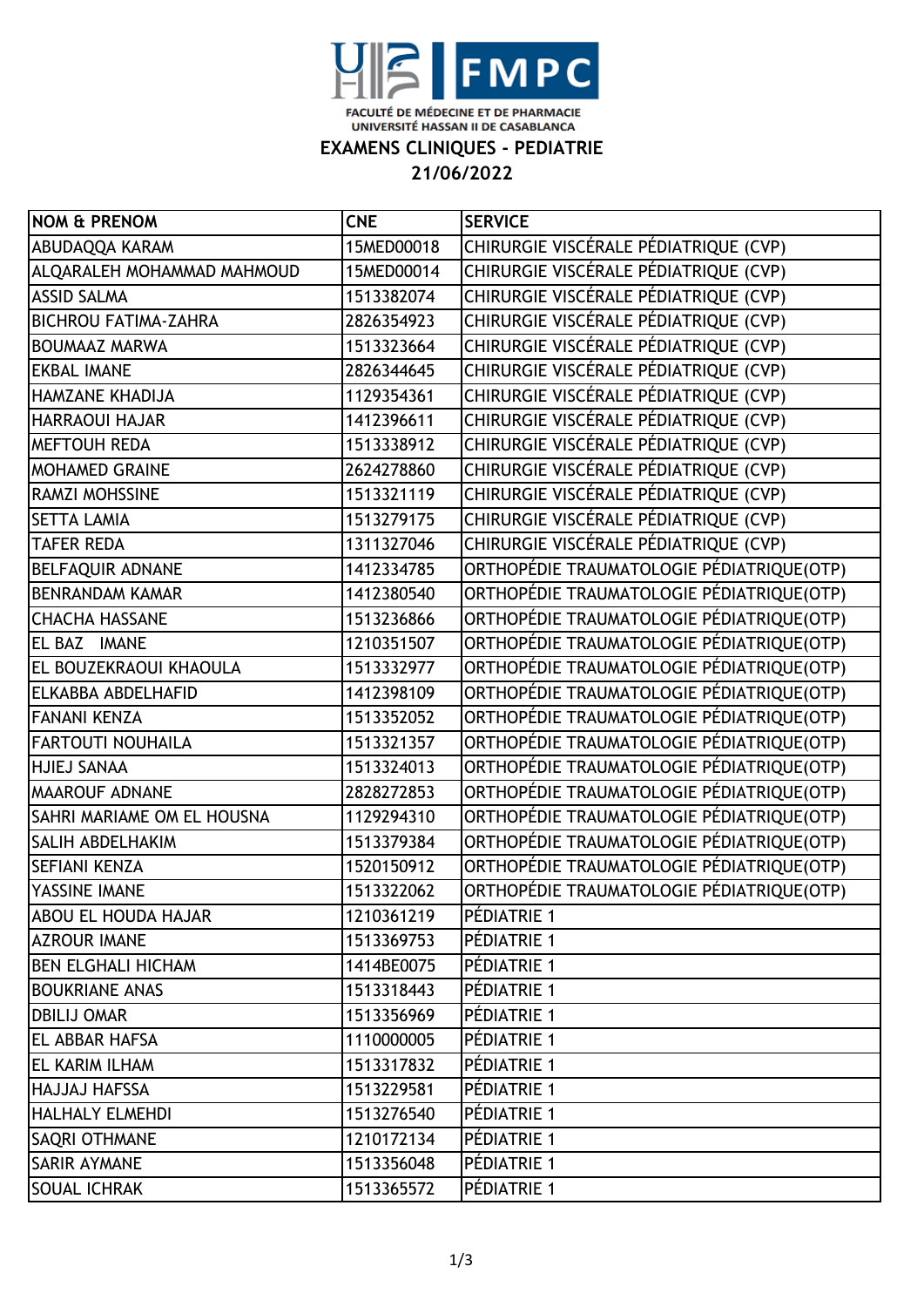

**EXAMENS CLINIQUES - PEDIATRIE**

**21/06/2022**

| <b>NOM &amp; PRENOM</b>     | <b>CNE</b> | <b>SERVICE</b>                            |
|-----------------------------|------------|-------------------------------------------|
| ABUDAQQA KARAM              | 15MED00018 | CHIRURGIE VISCÉRALE PÉDIATRIQUE (CVP)     |
| ALQARALEH MOHAMMAD MAHMOUD  | 15MED00014 | CHIRURGIE VISCÉRALE PÉDIATRIQUE (CVP)     |
| <b>ASSID SALMA</b>          | 1513382074 | CHIRURGIE VISCÉRALE PÉDIATRIQUE (CVP)     |
| <b>BICHROU FATIMA-ZAHRA</b> | 2826354923 | CHIRURGIE VISCÉRALE PÉDIATRIQUE (CVP)     |
| <b>BOUMAAZ MARWA</b>        | 1513323664 | CHIRURGIE VISCÉRALE PÉDIATRIQUE (CVP)     |
| <b>EKBAL IMANE</b>          | 2826344645 | CHIRURGIE VISCÉRALE PÉDIATRIQUE (CVP)     |
| <b>HAMZANE KHADIJA</b>      | 1129354361 | CHIRURGIE VISCÉRALE PÉDIATRIQUE (CVP)     |
| <b>HARRAOUI HAJAR</b>       | 1412396611 | CHIRURGIE VISCÉRALE PÉDIATRIQUE (CVP)     |
| <b>MEFTOUH REDA</b>         | 1513338912 | CHIRURGIE VISCÉRALE PÉDIATRIQUE (CVP)     |
| <b>MOHAMED GRAINE</b>       | 2624278860 | CHIRURGIE VISCÉRALE PÉDIATRIQUE (CVP)     |
| RAMZI MOHSSINE              | 1513321119 | CHIRURGIE VISCÉRALE PÉDIATRIQUE (CVP)     |
| <b>SETTA LAMIA</b>          | 1513279175 | CHIRURGIE VISCÉRALE PÉDIATRIQUE (CVP)     |
| <b>TAFER REDA</b>           | 1311327046 | CHIRURGIE VISCÉRALE PÉDIATRIQUE (CVP)     |
| <b>BELFAQUIR ADNANE</b>     | 1412334785 | ORTHOPÉDIE TRAUMATOLOGIE PÉDIATRIQUE(OTP) |
| <b>BENRANDAM KAMAR</b>      | 1412380540 | ORTHOPÉDIE TRAUMATOLOGIE PÉDIATRIQUE(OTP) |
| <b>CHACHA HASSANE</b>       | 1513236866 | ORTHOPÉDIE TRAUMATOLOGIE PÉDIATRIQUE(OTP) |
| EL BAZ IMANE                | 1210351507 | ORTHOPÉDIE TRAUMATOLOGIE PÉDIATRIQUE(OTP) |
| EL BOUZEKRAOUI KHAOULA      | 1513332977 | ORTHOPÉDIE TRAUMATOLOGIE PÉDIATRIQUE(OTP) |
| ELKABBA ABDELHAFID          | 1412398109 | ORTHOPÉDIE TRAUMATOLOGIE PÉDIATRIQUE(OTP) |
| <b>FANANI KENZA</b>         | 1513352052 | ORTHOPÉDIE TRAUMATOLOGIE PÉDIATRIQUE(OTP) |
| <b>FARTOUTI NOUHAILA</b>    | 1513321357 | ORTHOPÉDIE TRAUMATOLOGIE PÉDIATRIQUE(OTP) |
| <b>HJIEJ SANAA</b>          | 1513324013 | ORTHOPÉDIE TRAUMATOLOGIE PÉDIATRIQUE(OTP) |
| <b>MAAROUF ADNANE</b>       | 2828272853 | ORTHOPÉDIE TRAUMATOLOGIE PÉDIATRIQUE(OTP) |
| SAHRI MARIAME OM EL HOUSNA  | 1129294310 | ORTHOPÉDIE TRAUMATOLOGIE PÉDIATRIQUE(OTP) |
| <b>SALIH ABDELHAKIM</b>     | 1513379384 | ORTHOPÉDIE TRAUMATOLOGIE PÉDIATRIQUE(OTP) |
| <b>SEFIANI KENZA</b>        | 1520150912 | ORTHOPÉDIE TRAUMATOLOGIE PÉDIATRIQUE(OTP) |
| YASSINE IMANE               | 1513322062 | ORTHOPÉDIE TRAUMATOLOGIE PÉDIATRIQUE(OTP) |
| <b>ABOU EL HOUDA HAJAR</b>  | 1210361219 | PÉDIATRIE 1                               |
| <b>AZROUR IMANE</b>         | 1513369753 | PÉDIATRIE 1                               |
| <b>BEN ELGHALI HICHAM</b>   | 1414BE0075 | PÉDIATRIE 1                               |
| <b>BOUKRIANE ANAS</b>       | 1513318443 | PÉDIATRIE 1                               |
| <b>DBILIJ OMAR</b>          | 1513356969 | PÉDIATRIE 1                               |
| <b>EL ABBAR HAFSA</b>       | 1110000005 | PÉDIATRIE 1                               |
| <b>EL KARIM ILHAM</b>       | 1513317832 | PÉDIATRIE 1                               |
| <b>HAJJAJ HAFSSA</b>        | 1513229581 | PÉDIATRIE 1                               |
| <b>HALHALY ELMEHDI</b>      | 1513276540 | PÉDIATRIE 1                               |
| <b>SAQRI OTHMANE</b>        | 1210172134 | PÉDIATRIE 1                               |
| <b>SARIR AYMANE</b>         | 1513356048 | PÉDIATRIE 1                               |
| <b>SOUAL ICHRAK</b>         | 1513365572 | PÉDIATRIE 1                               |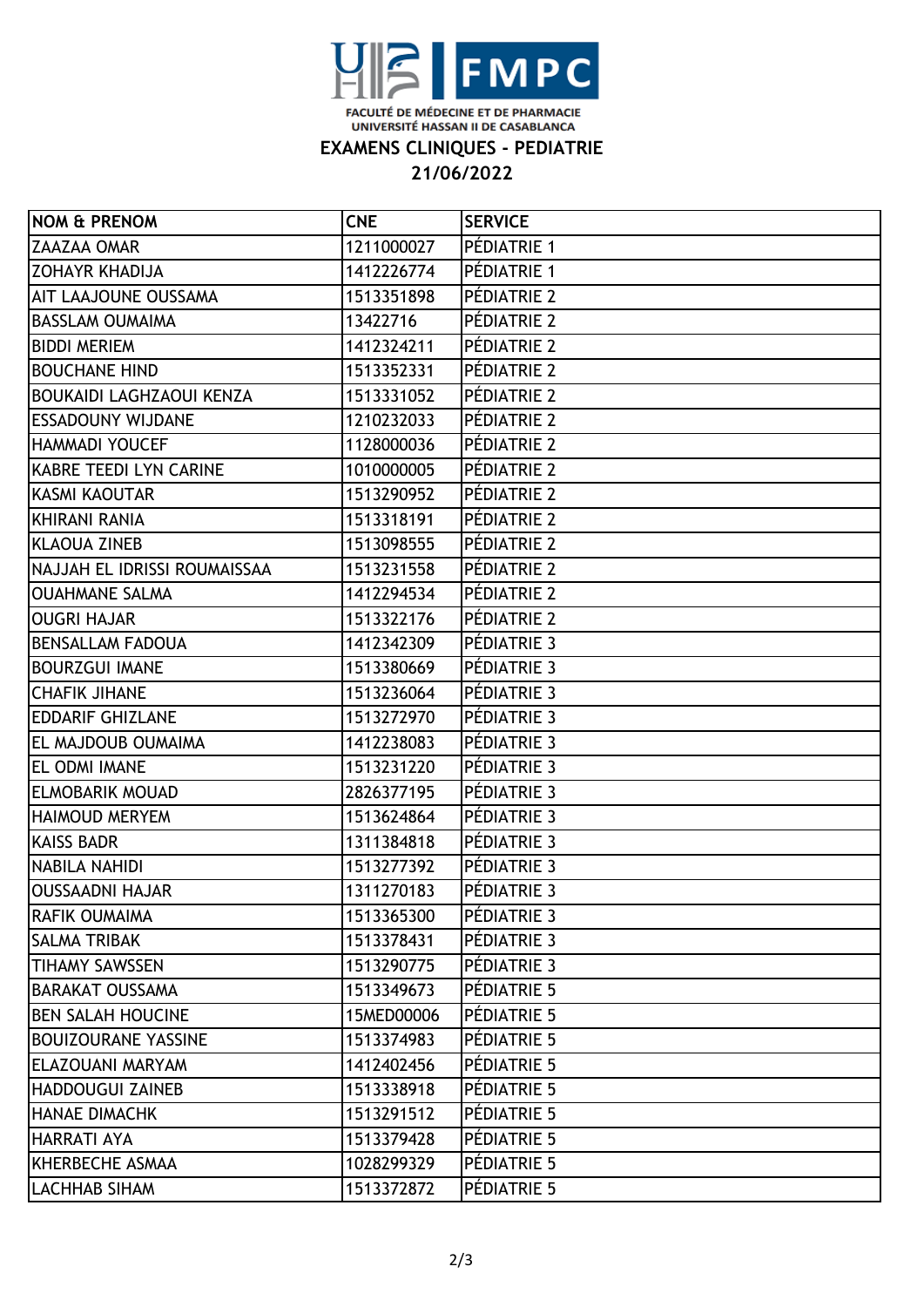

**EXAMENS CLINIQUES - PEDIATRIE**

**21/06/2022**

| <b>NOM &amp; PRENOM</b>          | <b>CNE</b> | <b>SERVICE</b> |
|----------------------------------|------------|----------------|
| <b>ZAAZAA OMAR</b>               | 1211000027 | PÉDIATRIE 1    |
| <b>ZOHAYR KHADIJA</b>            | 1412226774 | PÉDIATRIE 1    |
| AIT LAAJOUNE OUSSAMA             | 1513351898 | PÉDIATRIE 2    |
| IBASSLAM OUMAIMA                 | 13422716   | PÉDIATRIE 2    |
| <b>BIDDI MERIEM</b>              | 1412324211 | PÉDIATRIE 2    |
| <b>BOUCHANE HIND</b>             | 1513352331 | PÉDIATRIE 2    |
| <b>IBOUKAIDI LAGHZAOUI KENZA</b> | 1513331052 | PÉDIATRIE 2    |
| <b>IESSADOUNY WIJDANE</b>        | 1210232033 | PÉDIATRIE 2    |
| HAMMADI YOUCEF                   | 1128000036 | PÉDIATRIE 2    |
| KABRE TEEDI LYN CARINE           | 1010000005 | PÉDIATRIE 2    |
| KASMI KAOUTAR                    | 1513290952 | PÉDIATRIE 2    |
| KHIRANI RANIA                    | 1513318191 | PÉDIATRIE 2    |
| <b>IKLAOUA ZINEB</b>             | 1513098555 | PÉDIATRIE 2    |
| NAJJAH EL IDRISSI ROUMAISSAA     | 1513231558 | PÉDIATRIE 2    |
| <b>OUAHMANE SALMA</b>            | 1412294534 | PÉDIATRIE 2    |
| OUGRI HAJAR                      | 1513322176 | PÉDIATRIE 2    |
| <b>BENSALLAM FADOUA</b>          | 1412342309 | PÉDIATRIE 3    |
| <b>BOURZGUI IMANE</b>            | 1513380669 | PÉDIATRIE 3    |
| ICHAFIK JIHANE                   | 1513236064 | PÉDIATRIE 3    |
| <b>EDDARIF GHIZLANE</b>          | 1513272970 | PÉDIATRIE 3    |
| <b>EL MAJDOUB OUMAIMA</b>        | 1412238083 | PÉDIATRIE 3    |
| EL ODMI IMANE                    | 1513231220 | PÉDIATRIE 3    |
| <b>ELMOBARIK MOUAD</b>           | 2826377195 | PÉDIATRIE 3    |
| <b>HAIMOUD MERYEM</b>            | 1513624864 | PÉDIATRIE 3    |
| <b>KAISS BADR</b>                | 1311384818 | PÉDIATRIE 3    |
| NABILA NAHIDI                    | 1513277392 | PÉDIATRIE 3    |
| <b> OUSSAADNI HAJAR</b>          | 1311270183 | PÉDIATRIE 3    |
| RAFIK OUMAIMA                    | 1513365300 | PÉDIATRIE 3    |
| <b>SALMA TRIBAK</b>              | 1513378431 | PÉDIATRIE 3    |
| <b>TIHAMY SAWSSEN</b>            | 1513290775 | PÉDIATRIE 3    |
| <b>BARAKAT OUSSAMA</b>           | 1513349673 | PÉDIATRIE 5    |
| <b>BEN SALAH HOUCINE</b>         | 15MED00006 | PÉDIATRIE 5    |
| <b>BOUIZOURANE YASSINE</b>       | 1513374983 | PÉDIATRIE 5    |
| ELAZOUANI MARYAM                 | 1412402456 | PÉDIATRIE 5    |
| <b>HADDOUGUI ZAINEB</b>          | 1513338918 | PÉDIATRIE 5    |
| <b>HANAE DIMACHK</b>             | 1513291512 | PÉDIATRIE 5    |
| <b>HARRATI AYA</b>               | 1513379428 | PÉDIATRIE 5    |
| KHERBECHE ASMAA                  | 1028299329 | PÉDIATRIE 5    |
| <b>LACHHAB SIHAM</b>             | 1513372872 | PÉDIATRIE 5    |